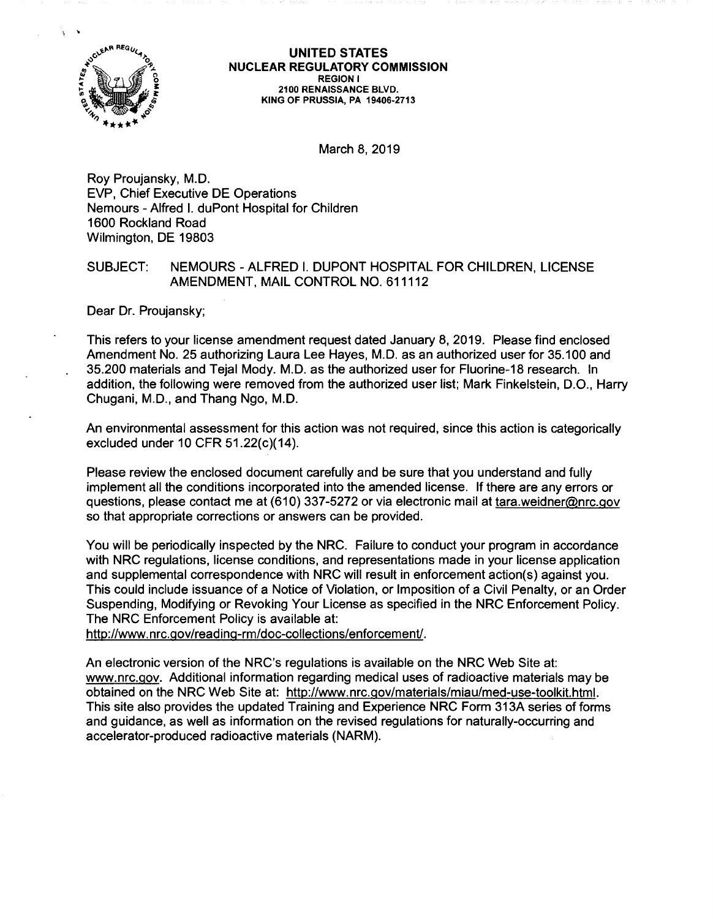

**UNITED STATES NUCLEAR REGULATORY COMMISSION REGION** I **2100 RENAISSANCE BLVD. KING OF PRUSSIA, PA 19406-2713** 

March 8, 2019

Roy Proujansky, M.D. EVP, Chief Executive DE Operations Nemours - Alfred I. duPont Hospital for Children 1600 Rockland Road Wilmington, DE 19803

# SUBJECT: NEMOURS - ALFRED I. DUPONT HOSPITAL FOR CHILDREN, LICENSE AMENDMENT, MAIL CONTROL NO. 611112

Dear Dr. Proujansky;

This refers to your license amendment request dated January 8, 2019. Please find enclosed Amendment No. 25 authorizing Laura Lee Hayes, M.D. as an authorized user for 35.100 and 35.200 materials and Tejal Mody. M.D. as the authorized user for Fluorine-18 research. In addition, the following were removed from the authorized user list; Mark Finkelstein, D.O., Harry Chugani, M.D., and Thang Ngo, M.D.

An environmental assessment for this action was not required, since this action is categorically excluded under 10 CFR 51.22(c)(14).

Please review the enclosed document carefully and be sure that you understand and fully implement all the conditions incorporated into the amended license. If there are any errors or questions, please contact me at (610) 337-5272 or via electronic mail at tara.weidner@nrc.gov so that appropriate corrections or answers can be provided.

You will be periodically inspected by the NRC. Failure to conduct your program in accordance with NRC regulations, license conditions, and representations made in your license application and supplemental correspondence with NRC will result in enforcement action(s) against you. This could include issuance of a Notice of Violation, or Imposition of a Civil Penalty, or an Order Suspending, Modifying or Revoking Your License as specified in the NRC Enforcement Policy. The NRC Enforcement Policy is available at:

http://www.nrc.gov/reading-rm/doc-collections/enforcement/.

An electronic version of the NRC's regulations is available on the NRC Web Site at: www.nrc.gov. Additional information regarding medical uses of radioactive materials may be obtained on the NRC Web Site at: http://www.nrc.gov/materials/miau/med-use-toolkit.html. This site also provides the updated Training and Experience NRC Form 313A series of forms and guidance, as well as information on the revised regulations for naturally-occurring and accelerator-produced radioactive materials (NARM).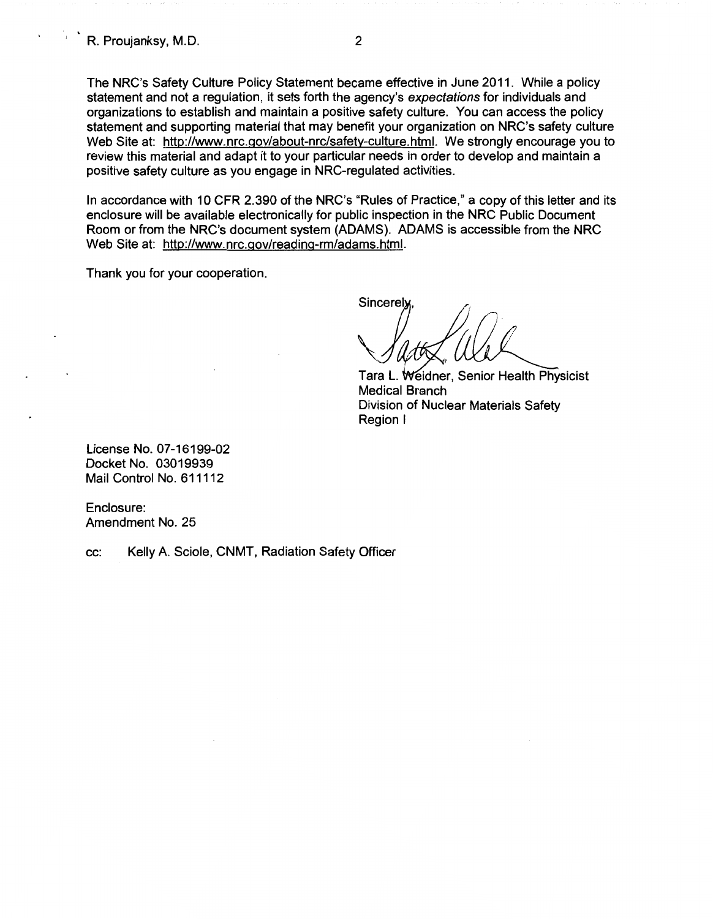The NRC's Safety Culture Policy Statement became effective in June 2011. While a policy statement and not a regulation, it sets forth the agency's expectations for individuals and organizations to establish and maintain a positive safety culture. You can access the policy statement and supporting material that may benefit your organization on NRC's safety culture Web Site at: http://www.nrc.gov/about-nrc/safety-culture.html. We strongly encourage you to review this material and adapt it to your particular needs in order to develop and maintain a positive safety culture as you engage in NRG-regulated activities.

In accordance with 10 CFR 2.390 of the NRC's "Rules of Practice," a copy of this letter and its enclosure will be available electronically for public inspection in the NRC Public Document Room or from the NRC's document system (ADAMS). ADAMS is accessible from the NRC Web Site at: http://www.nrc.gov/reading-rm/adams.html.

Thank you for your cooperation.

Sincerely

Tara L. Weidner, Senior Health Physicist Medical Branch Division of Nuclear Materials Safety Region I

License No. 07-16199-02 Docket No. 03019939 Mail Control No. 611112

Enclosure: Amendment No. 25

cc: Kelly A. Sciole, CNMT, Radiation Safety Officer